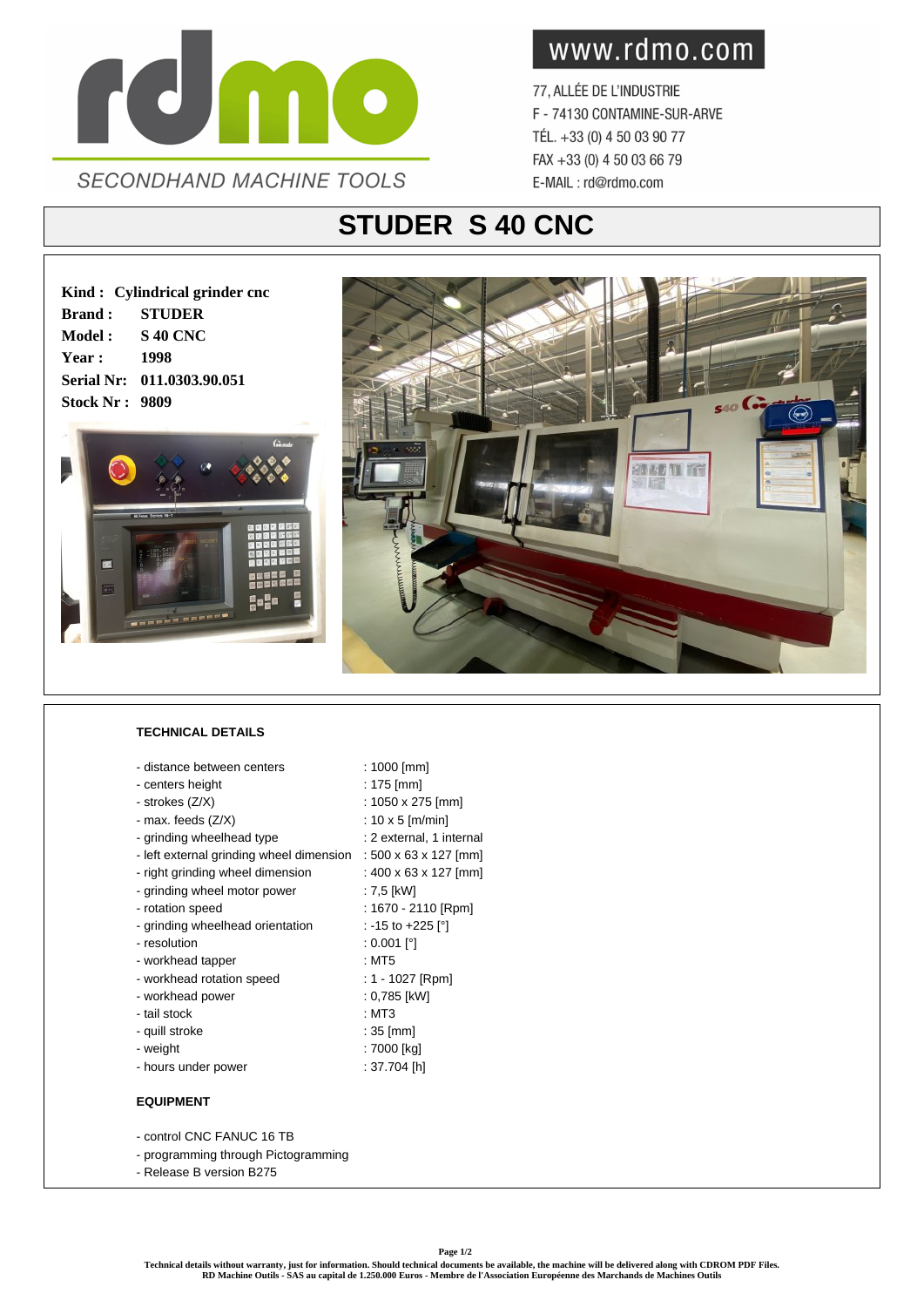

www.rdmo.com

77, ALLÉE DE L'INDUSTRIE F - 74130 CONTAMINE-SUR-ARVE TÉL. +33 (0) 4 50 03 90 77 FAX +33 (0) 4 50 03 66 79 E-MAIL: rd@rdmo.com

## **STUDER S 40 CNC**

**Kind : Cylindrical grinder cnc Brand : STUDER Model : S 40 CNC Year : 1998 Serial Nr: 011.0303.90.051 Stock Nr : 9809**





## **TECHNICAL DETAILS**

- distance between centers : 1000 [mm]
- centers height : 175 [mm]
- $-$  strokes (Z/X)  $\sim$  1050 x 275 [mm]
- $-$  max. feeds  $(Z/X)$  : 10 x 5 [m/min]
- grinding wheelhead type : 2 external, 1 internal
- left external grinding wheel dimension : 500 x 63 x 127 [mm]
- right grinding wheel dimension : 400 x 63 x 127 [mm]
- grinding wheel motor power : 7,5 [kW]
- 
- grinding wheelhead orientation : -15 to +225 [°]
- resolution : 0.001 [°]
- workhead tapper : MT5
- workhead rotation speed : 1 1027 [Rpm]
- workhead power : 0,785 [kW]
- tail stock : MT3
- quill stroke : 35 [mm]
- weight : 7000 [kg]
- hours under power : 37.704 [h]

## **EQUIPMENT**

- control CNC FANUC 16 TB
- programming through Pictogramming
- Release B version B275
- 
- 
- 
- 
- 
- 
- 
- 
- rotation speed : 1670 2110 [Rpm]
	-
	-
	-
	-
	-
	-
	-
	-
	-